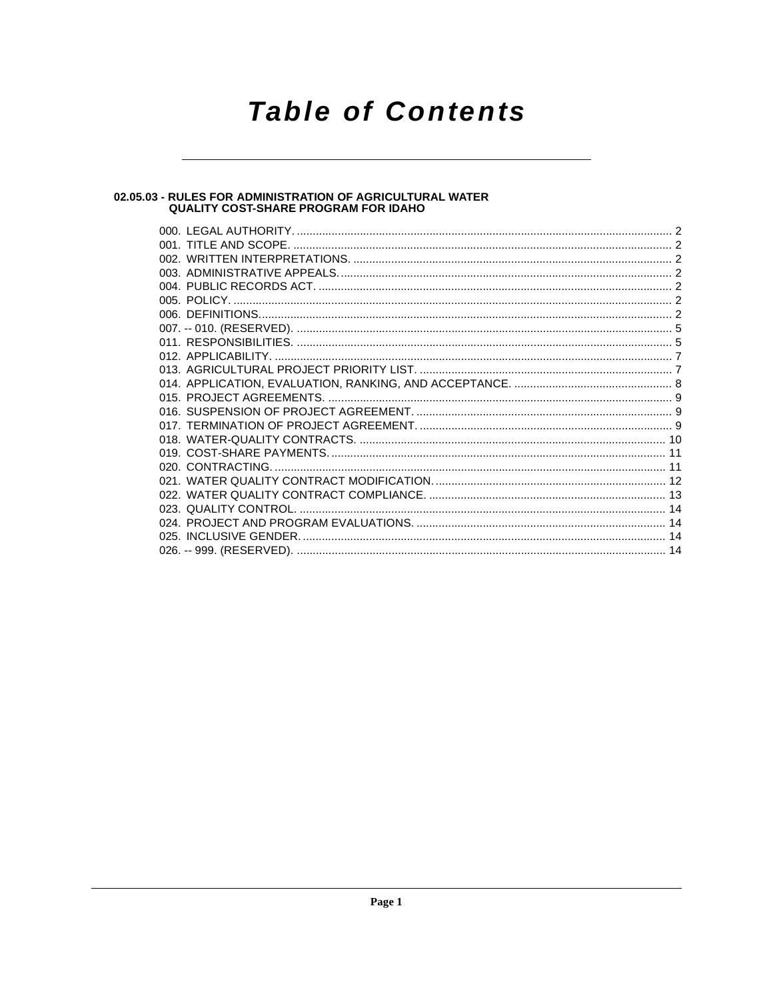# **Table of Contents**

## 02.05.03 - RULES FOR ADMINISTRATION OF AGRICULTURAL WATER<br>QUALITY COST-SHARE PROGRAM FOR IDAHO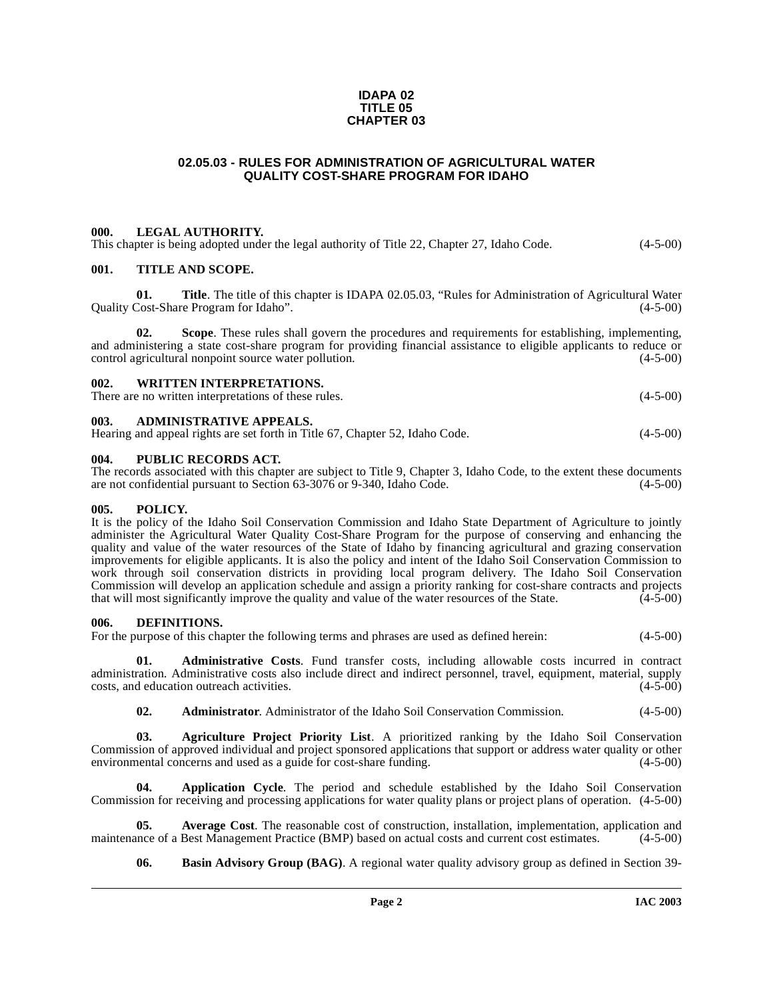#### **IDAPA 02 TITLE 05 CHAPTER 03**

#### **02.05.03 - RULES FOR ADMINISTRATION OF AGRICULTURAL WATER QUALITY COST-SHARE PROGRAM FOR IDAHO**

#### <span id="page-1-1"></span><span id="page-1-0"></span>**000. LEGAL AUTHORITY.**

This chapter is being adopted under the legal authority of Title 22, Chapter 27, Idaho Code.  $(4-5-00)$ 

#### <span id="page-1-2"></span>**001. TITLE AND SCOPE.**

**01.** Title. The title of this chapter is IDAPA 02.05.03, "Rules for Administration of Agricultural Water Cost-Share Program for Idaho". (4-5-00) Quality Cost-Share Program for Idaho".

**02. Scope**. These rules shall govern the procedures and requirements for establishing, implementing, and administering a state cost-share program for providing financial assistance to eligible applicants to reduce or control agricultural nonpoint source water pollution. (4-5-00) control agricultural nonpoint source water pollution.

#### <span id="page-1-3"></span>**002. WRITTEN INTERPRETATIONS.**

There are no written interpretations of these rules. (4-5-00)

#### <span id="page-1-4"></span>**003. ADMINISTRATIVE APPEALS.**

| Hearing and appeal rights are set forth in Title 67, Chapter 52, Idaho Code. | $(4-5-00)$ |
|------------------------------------------------------------------------------|------------|
|------------------------------------------------------------------------------|------------|

## <span id="page-1-5"></span>**004. PUBLIC RECORDS ACT.**

The records associated with this chapter are subject to Title 9, Chapter 3, Idaho Code, to the extent these documents are not confidential pursuant to Section 63-3076 or 9-340, Idaho Code. (4-5-00) are not confidential pursuant to Section 63-3076 or 9-340, Idaho Code.

#### <span id="page-1-6"></span>**005. POLICY.**

It is the policy of the Idaho Soil Conservation Commission and Idaho State Department of Agriculture to jointly administer the Agricultural Water Quality Cost-Share Program for the purpose of conserving and enhancing the quality and value of the water resources of the State of Idaho by financing agricultural and grazing conservation improvements for eligible applicants. It is also the policy and intent of the Idaho Soil Conservation Commission to work through soil conservation districts in providing local program delivery. The Idaho Soil Conservation Commission will develop an application schedule and assign a priority ranking for cost-share contracts and projects that will most significantly improve the quality and value of the water resources of the State. (4-5-00) that will most significantly improve the quality and value of the water resources of the State.

#### <span id="page-1-11"></span><span id="page-1-7"></span>**006. DEFINITIONS.**

For the purpose of this chapter the following terms and phrases are used as defined herein:  $(4-5-00)$ 

**01. Administrative Costs**. Fund transfer costs, including allowable costs incurred in contract administration. Administrative costs also include direct and indirect personnel, travel, equipment, material, supply costs, and education outreach activities. (4-5-00) costs, and education outreach activities.

<span id="page-1-9"></span><span id="page-1-8"></span>**02. Administrator**. Administrator of the Idaho Soil Conservation Commission. (4-5-00)

**03. Agriculture Project Priority List**. A prioritized ranking by the Idaho Soil Conservation Commission of approved individual and project sponsored applications that support or address water quality or other<br>environmental concerns and used as a guide for cost-share funding. environmental concerns and used as a guide for cost-share funding.

**04. Application Cycle**. The period and schedule established by the Idaho Soil Conservation Commission for receiving and processing applications for water quality plans or project plans of operation. (4-5-00)

**05. Average Cost**. The reasonable cost of construction, installation, implementation, application and maintenance of a Best Management Practice (BMP) based on actual costs and current cost estimates. (4-5-00)

<span id="page-1-10"></span>**06. Basin Advisory Group (BAG)**. A regional water quality advisory group as defined in Section 39-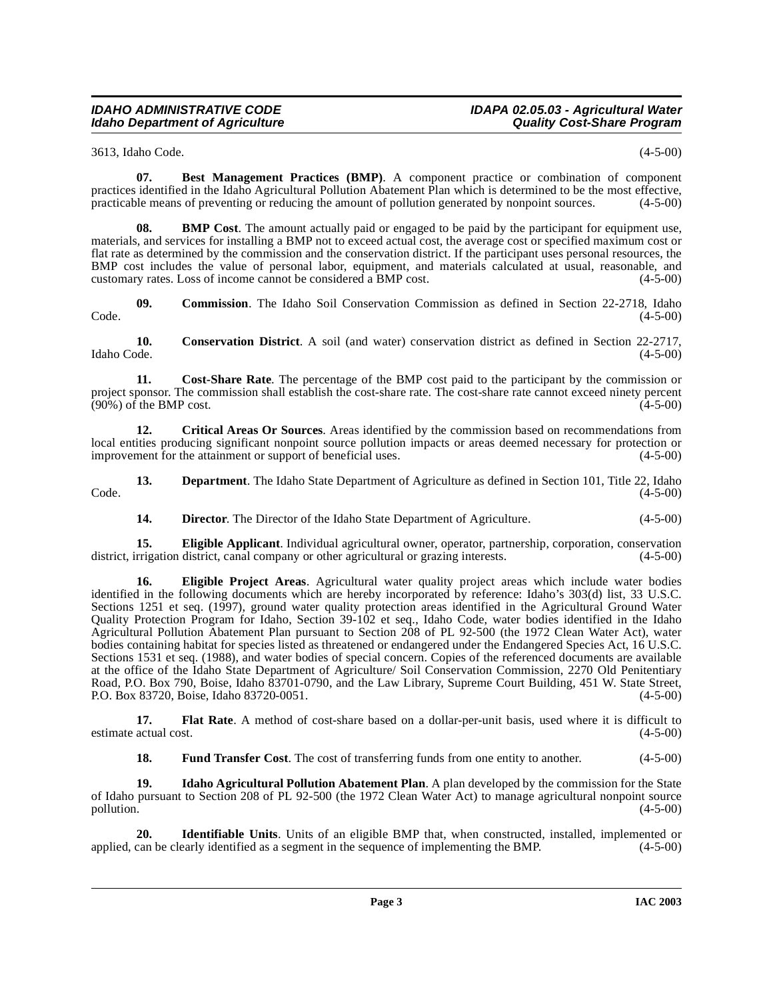## **IDAHO ADMINISTRATIVE CODE IDAPA 02.05.03 - Agricultural Water**

3613, Idaho Code. (4-5-00)

**07. Best Management Practices (BMP)**. A component practice or combination of component practices identified in the Idaho Agricultural Pollution Abatement Plan which is determined to be the most effective, practicable means of preventing or reducing the amount of pollution generated by nonpoint sources. (4-5-00)

**08. BMP Cost**. The amount actually paid or engaged to be paid by the participant for equipment use, materials, and services for installing a BMP not to exceed actual cost, the average cost or specified maximum cost or flat rate as determined by the commission and the conservation district. If the participant uses personal resources, the BMP cost includes the value of personal labor, equipment, and materials calculated at usual, reasonable, and customary rates. Loss of income cannot be considered a BMP cost. (4-5-00) customary rates. Loss of income cannot be considered a BMP cost.

**09. Commission**. The Idaho Soil Conservation Commission as defined in Section 22-2718, Idaho  $\text{Code.}$  (4-5-00)

**10.** Conservation District. A soil (and water) conservation district as defined in Section 22-2717, Idaho Code. (4-5-00) Idaho Code. (4-5-00)

**11. Cost-Share Rate**. The percentage of the BMP cost paid to the participant by the commission or project sponsor. The commission shall establish the cost-share rate. The cost-share rate cannot exceed ninety percent (90%) of the BMP cost. (4-5-00)  $(90\%)$  of the BMP cost.

<span id="page-2-0"></span>**12. Critical Areas Or Sources**. Areas identified by the commission based on recommendations from local entities producing significant nonpoint source pollution impacts or areas deemed necessary for protection or improvement for the attainment or support of beneficial uses. (4-5-00)

**13. Department**. The Idaho State Department of Agriculture as defined in Section 101, Title 22, Idaho (4-5-00)  $\text{Code.}$  (4-5-00)

**14. Director**. The Director of the Idaho State Department of Agriculture. (4-5-00)

**15. Eligible Applicant**. Individual agricultural owner, operator, partnership, corporation, conservation rrigation district, canal company or other agricultural or grazing interests.  $(4-5-00)$ district, irrigation district, canal company or other agricultural or grazing interests.

**16. Eligible Project Areas**[. Agricultural water quality project areas which include water bodies](http://www4.law.cornell.edu/uscode/33/1251.html) identified in the following documents which are hereby incorporated by reference: Idaho's 303(d) list, 33 U.S.C. [Sections 1251 et seq. \(1997\), ground water quality protection areas identified in the Agricultural Ground Water](http://www4.law.cornell.edu/uscode/33/1251.html) Quality Protection Program for Idaho, Section 39-102 et seq., Idaho Code, water bodies identified in the Idaho Agricultural Pollution Abatement Plan pursuant to Section 208 of PL 92-500 (the 1972 Clean Water Act), water [bodies containing habitat for species listed as threatened or endangered under the Endangered Species Act,](http://www4.law.cornell.edu/uscode/33/1251.html) [16 U.S.C.](http://www4.law.cornell.edu/uscode/16/1531.html) Sections 1531 et seq. (1988), and water bodies of special concern. Copies of the referenced documents are available [at the office of the Idaho State Department of Agriculture/ Soil Conservation Commission, 2270 Old Penitentiary](http://www4.law.cornell.edu/uscode/16/1531.html) Road, P.O. Box 790, Boise, Idaho 83701-0790, and the Law Library, Supreme Court Building, 451 W. State Street, [P.O. Box 83720, Boise, Idaho 83720-0051.](http://www4.law.cornell.edu/uscode/16/1531.html) (4-5-00)

**17. Flat Rate**. A method of cost-share based on a dollar-per-unit basis, used where it is difficult to estimate actual cost. (4-5-00)

<span id="page-2-1"></span>**18. Fund Transfer Cost**. The cost of transferring funds from one entity to another. (4-5-00)

**19. Idaho Agricultural Pollution Abatement Plan**. A plan developed by the commission for the State of Idaho pursuant to Section 208 of PL 92-500 (the 1972 Clean Water Act) to manage agricultural nonpoint source pollution. (4-5-00)

**20. Identifiable Units**. Units of an eligible BMP that, when constructed, installed, implemented or can be clearly identified as a segment in the sequence of implementing the BMP.  $(4-5-00)$ applied, can be clearly identified as a segment in the sequence of implementing the BMP.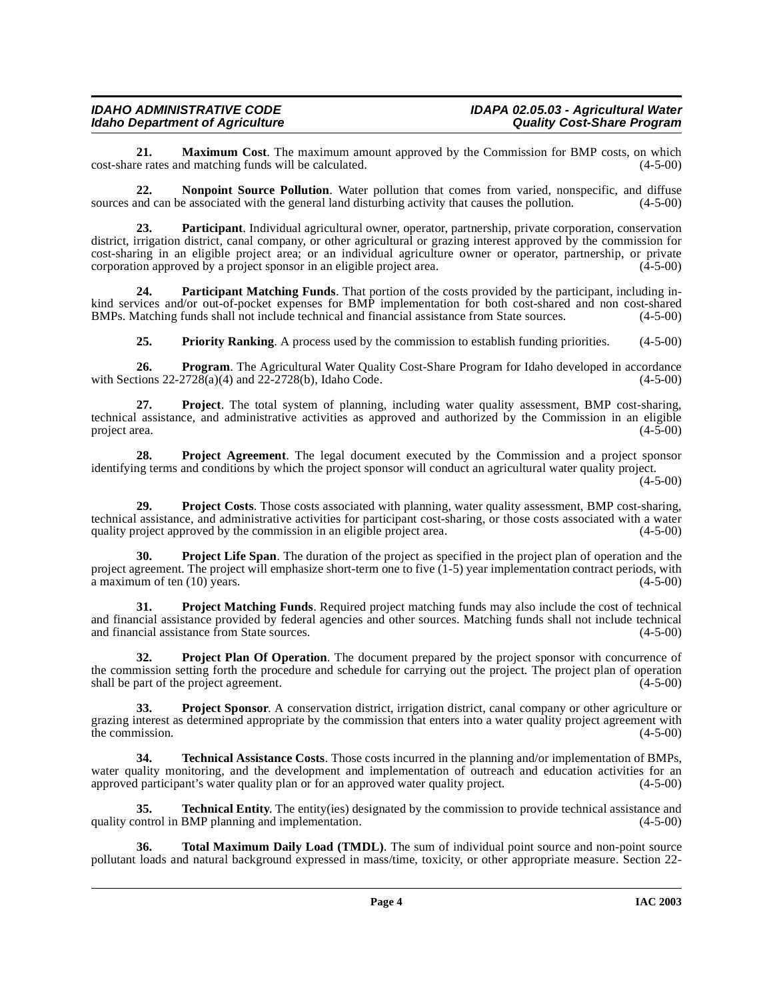## **IDAHO ADMINISTRATIVE CODE IDAPA 02.05.03 - Agricultural Water**<br>IDAPA 02.05.03 - Agricultural Water<br>Quality Cost-Share Program **Idaho Department of Agriculture**

**21. Maximum Cost**. The maximum amount approved by the Commission for BMP costs, on which e rates and matching funds will be calculated. (4-5-00) cost-share rates and matching funds will be calculated.

<span id="page-3-0"></span>**22. Nonpoint Source Pollution**. Water pollution that comes from varied, nonspecific, and diffuse sources and can be associated with the general land disturbing activity that causes the pollution.  $(4-5-00)$ 

**23. Participant**. Individual agricultural owner, operator, partnership, private corporation, conservation district, irrigation district, canal company, or other agricultural or grazing interest approved by the commission for cost-sharing in an eligible project area; or an individual agriculture owner or operator, partnership, or private corporation approved by a project sponsor in an eligible project area.  $(4-5-00)$ 

**24. Participant Matching Funds**. That portion of the costs provided by the participant, including inkind services and/or out-of-pocket expenses for BMP implementation for both cost-shared and non cost-shared<br>BMPs. Matching funds shall not include technical and financial assistance from State sources. (4-5-00) BMPs. Matching funds shall not include technical and financial assistance from State sources.

<span id="page-3-1"></span>**25. Priority Ranking**. A process used by the commission to establish funding priorities. (4-5-00)

**26. Program**. The Agricultural Water Quality Cost-Share Program for Idaho developed in accordance with Sections 22-2728(a)(4) and 22-2728(b), Idaho Code. (4-5-00)

**27. Project**. The total system of planning, including water quality assessment, BMP cost-sharing, technical assistance, and administrative activities as approved and authorized by the Commission in an eligible<br>project area. (4-5-00) project area.

**28. Project Agreement**. The legal document executed by the Commission and a project sponsor identifying terms and conditions by which the project sponsor will conduct an agricultural water quality project.

 $(4 - 5 - 00)$ 

**29. Project Costs**. Those costs associated with planning, water quality assessment, BMP cost-sharing, technical assistance, and administrative activities for participant cost-sharing, or those costs associated with a water quality project approved by the commission in an eligible project area.  $(4-5-00)$ quality project approved by the commission in an eligible project area.

<span id="page-3-2"></span>**Project Life Span**. The duration of the project as specified in the project plan of operation and the project agreement. The project will emphasize short-term one to five (1-5) year implementation contract periods, with a maximum of ten (10) years. (4-5-00)

**31. Project Matching Funds**. Required project matching funds may also include the cost of technical and financial assistance provided by federal agencies and other sources. Matching funds shall not include technical and financial assistance from State sources. (4-5-00)

<span id="page-3-3"></span>**32. Project Plan Of Operation**. The document prepared by the project sponsor with concurrence of the commission setting forth the procedure and schedule for carrying out the project. The project plan of operation shall be part of the project agreement. (4-5-00)

**33. Project Sponsor**. A conservation district, irrigation district, canal company or other agriculture or grazing interest as determined appropriate by the commission that enters into a water quality project agreement with the commission.  $(4-5-00)$ 

<span id="page-3-4"></span>**34. Technical Assistance Costs**. Those costs incurred in the planning and/or implementation of BMPs, water quality monitoring, and the development and implementation of outreach and education activities for an approved participant's water quality plan or for an approved water quality project. (4-5-00) approved participant's water quality plan or for an approved water quality project.

**35. Technical Entity**. The entity(ies) designated by the commission to provide technical assistance and quality control in BMP planning and implementation. (4-5-00)

<span id="page-3-5"></span>**36. Total Maximum Daily Load (TMDL)**. The sum of individual point source and non-point source pollutant loads and natural background expressed in mass/time, toxicity, or other appropriate measure. Section 22-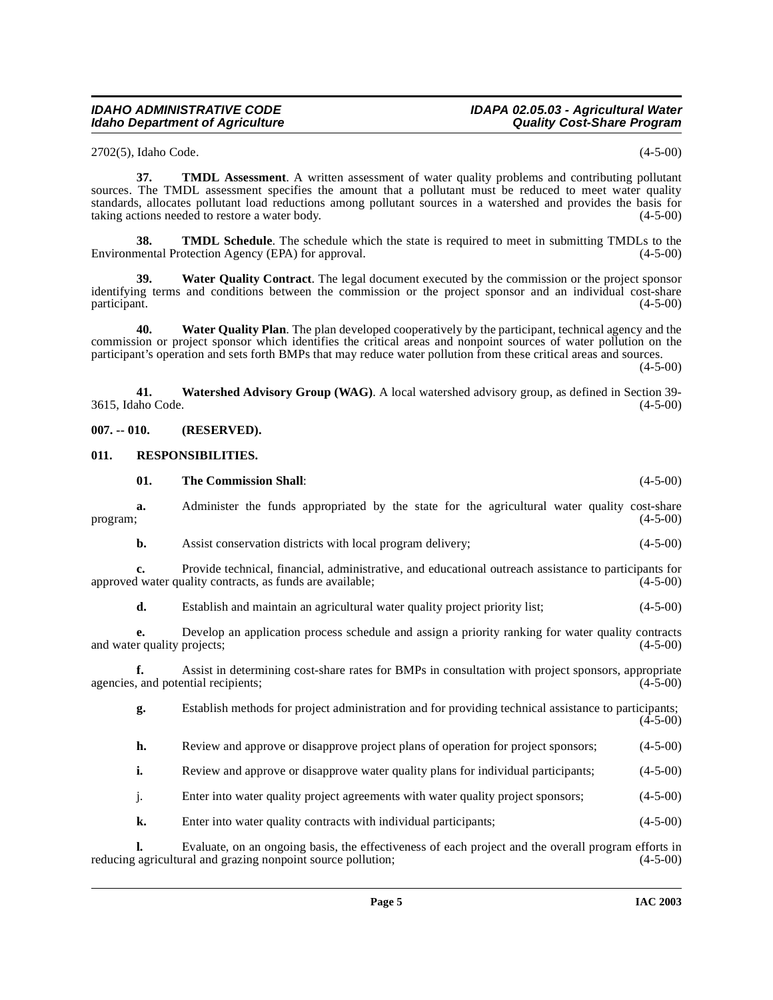## **IDAHO ADMINISTRATIVE CODE IDAPA 02.05.03 - Agricultural Water**

2702(5), Idaho Code. (4-5-00)

**37. TMDL Assessment**. A written assessment of water quality problems and contributing pollutant sources. The TMDL assessment specifies the amount that a pollutant must be reduced to meet water quality standards, allocates pollutant load reductions among pollutant sources in a watershed and provides the basis for taking actions needed to restore a water body. (4-5-00)

**38. TMDL Schedule**. The schedule which the state is required to meet in submitting TMDLs to the nentral Protection Agency (EPA) for approval. Environmental Protection Agency (EPA) for approval.

**39. Water Quality Contract**. The legal document executed by the commission or the project sponsor identifying terms and conditions between the commission or the project sponsor and an individual cost-share participant. (4-5-00) participant. (4-5-00)

**40. Water Quality Plan**. The plan developed cooperatively by the participant, technical agency and the commission or project sponsor which identifies the critical areas and nonpoint sources of water pollution on the participant's operation and sets forth BMPs that may reduce water pollution from these critical areas and sources.

 $(4-5-00)$ 

<span id="page-4-4"></span>**41. Watershed Advisory Group (WAG)**. A local watershed advisory group, as defined in Section 39- 3615, Idaho Code. (4-5-00)

#### <span id="page-4-0"></span>**007. -- 010. (RESERVED).**

#### <span id="page-4-3"></span><span id="page-4-1"></span>**011. RESPONSIBILITIES.**

<span id="page-4-2"></span>

|          | 01.                               | <b>The Commission Shall:</b>                                                                                                                                        | $(4-5-00)$ |
|----------|-----------------------------------|---------------------------------------------------------------------------------------------------------------------------------------------------------------------|------------|
| program; | a.                                | Administer the funds appropriated by the state for the agricultural water quality cost-share                                                                        | $(4-5-00)$ |
|          | b.                                | Assist conservation districts with local program delivery;                                                                                                          | $(4-5-00)$ |
|          | c.                                | Provide technical, financial, administrative, and educational outreach assistance to participants for<br>approved water quality contracts, as funds are available;  | $(4-5-00)$ |
|          | d.                                | Establish and maintain an agricultural water quality project priority list;                                                                                         | $(4-5-00)$ |
|          | е.<br>and water quality projects; | Develop an application process schedule and assign a priority ranking for water quality contracts                                                                   | $(4-5-00)$ |
|          |                                   | Assist in determining cost-share rates for BMPs in consultation with project sponsors, appropriate<br>agencies, and potential recipients;                           | $(4-5-00)$ |
|          | g.                                | Establish methods for project administration and for providing technical assistance to participants;                                                                | $(4-5-00)$ |
|          | h.                                | Review and approve or disapprove project plans of operation for project sponsors;                                                                                   | $(4-5-00)$ |
|          | i.                                | Review and approve or disapprove water quality plans for individual participants;                                                                                   | $(4-5-00)$ |
|          | j.                                | Enter into water quality project agreements with water quality project sponsors;                                                                                    | $(4-5-00)$ |
|          | k.                                | Enter into water quality contracts with individual participants;                                                                                                    | $(4-5-00)$ |
|          |                                   | Evaluate, on an ongoing basis, the effectiveness of each project and the overall program efforts in<br>reducing agricultural and grazing nonpoint source pollution; | $(4-5-00)$ |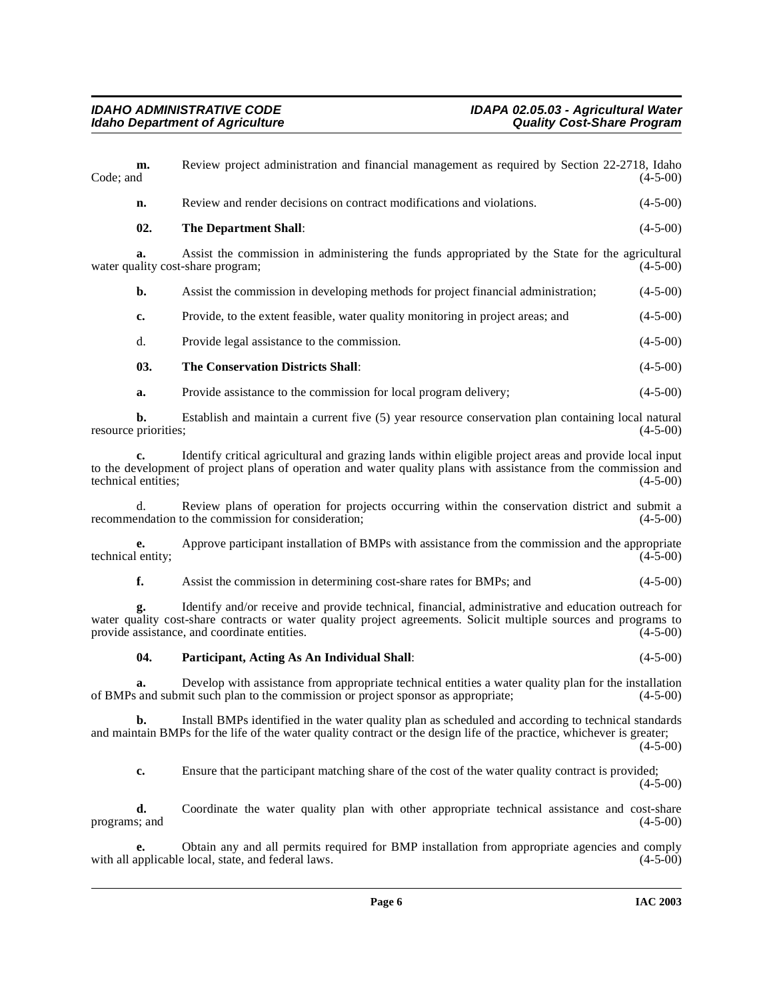<span id="page-5-1"></span><span id="page-5-0"></span>

| Code; and            | m.  | Review project administration and financial management as required by Section 22-2718, Idaho<br>$(4-5-00)$                                                                                                                                                                            |  |
|----------------------|-----|---------------------------------------------------------------------------------------------------------------------------------------------------------------------------------------------------------------------------------------------------------------------------------------|--|
|                      | n.  | $(4-5-00)$<br>Review and render decisions on contract modifications and violations.                                                                                                                                                                                                   |  |
|                      | 02. | <b>The Department Shall:</b><br>$(4-5-00)$                                                                                                                                                                                                                                            |  |
|                      | a.  | Assist the commission in administering the funds appropriated by the State for the agricultural<br>water quality cost-share program;<br>$(4-5-00)$                                                                                                                                    |  |
|                      | b.  | Assist the commission in developing methods for project financial administration;<br>$(4-5-00)$                                                                                                                                                                                       |  |
|                      | c.  | Provide, to the extent feasible, water quality monitoring in project areas; and<br>$(4-5-00)$                                                                                                                                                                                         |  |
|                      | d.  | $(4-5-00)$<br>Provide legal assistance to the commission.                                                                                                                                                                                                                             |  |
|                      | 03. | <b>The Conservation Districts Shall:</b><br>$(4-5-00)$                                                                                                                                                                                                                                |  |
|                      | a.  | $(4-5-00)$<br>Provide assistance to the commission for local program delivery;                                                                                                                                                                                                        |  |
| resource priorities; | b.  | Establish and maintain a current five (5) year resource conservation plan containing local natural<br>$(4-5-00)$                                                                                                                                                                      |  |
| technical entities;  | c.  | Identify critical agricultural and grazing lands within eligible project areas and provide local input<br>to the development of project plans of operation and water quality plans with assistance from the commission and<br>$(4-5-00)$                                              |  |
|                      | d.  | Review plans of operation for projects occurring within the conservation district and submit a<br>recommendation to the commission for consideration;<br>$(4-5-00)$                                                                                                                   |  |
| technical entity;    | e.  | Approve participant installation of BMPs with assistance from the commission and the appropriate<br>$(4-5-00)$                                                                                                                                                                        |  |
|                      | f.  | Assist the commission in determining cost-share rates for BMPs; and<br>$(4-5-00)$                                                                                                                                                                                                     |  |
|                      | g.  | Identify and/or receive and provide technical, financial, administrative and education outreach for<br>water quality cost-share contracts or water quality project agreements. Solicit multiple sources and programs to<br>provide assistance, and coordinate entities.<br>$(4-5-00)$ |  |
|                      | 04. | Participant, Acting As An Individual Shall:<br>$(4-5-00)$                                                                                                                                                                                                                             |  |
|                      | a.  | Develop with assistance from appropriate technical entities a water quality plan for the installation<br>of BMPs and submit such plan to the commission or project sponsor as appropriate;<br>$(4-5-00)$                                                                              |  |
|                      | b.  | Install BMPs identified in the water quality plan as scheduled and according to technical standards<br>and maintain BMPs for the life of the water quality contract or the design life of the practice, whichever is greater;<br>$(4-5-00)$                                           |  |
|                      | c.  | Ensure that the participant matching share of the cost of the water quality contract is provided;<br>$(4-5-00)$                                                                                                                                                                       |  |
| programs; and        | d.  | Coordinate the water quality plan with other appropriate technical assistance and cost-share<br>$(4-5-00)$                                                                                                                                                                            |  |
|                      |     |                                                                                                                                                                                                                                                                                       |  |

<span id="page-5-2"></span>**e.** Obtain any and all permits required for BMP installation from appropriate agencies and comply with all applicable local, state, and federal laws. (4-5-00)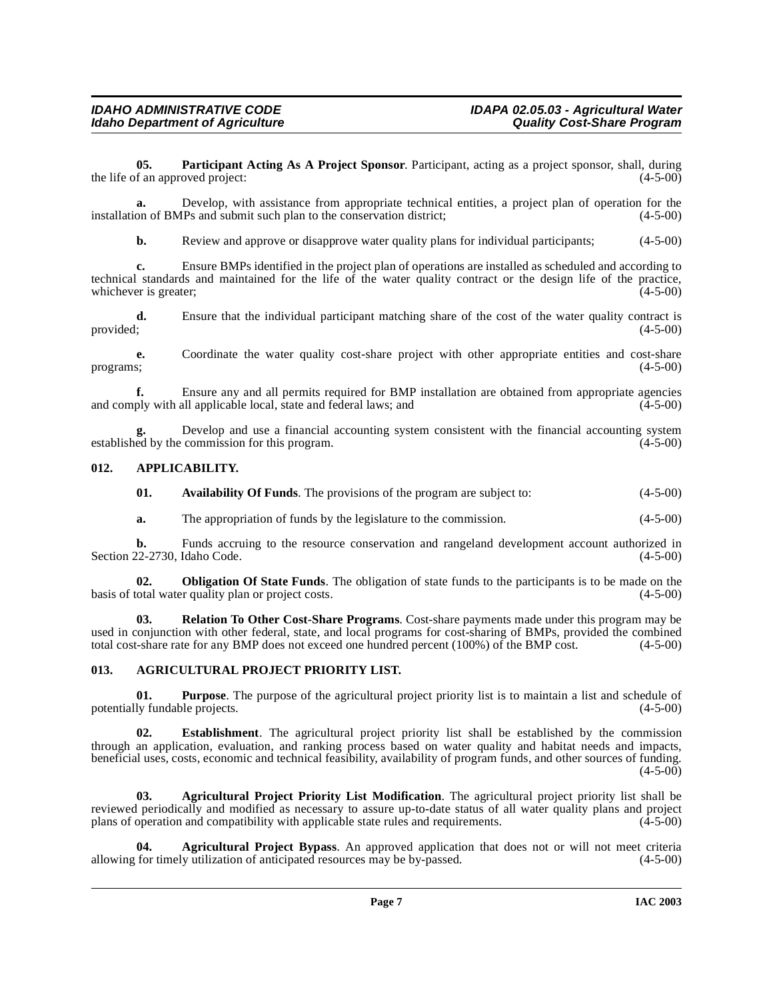<span id="page-6-6"></span>**05. Participant Acting As A Project Sponsor**. Participant, acting as a project sponsor, shall, during the life of an approved project:

**a.** Develop, with assistance from appropriate technical entities, a project plan of operation for the installation of BMPs and submit such plan to the conservation district; (4-5-00)

**b.** Review and approve or disapprove water quality plans for individual participants; (4-5-00)

**c.** Ensure BMPs identified in the project plan of operations are installed as scheduled and according to technical standards and maintained for the life of the water quality contract or the design life of the practice, whichever is greater; (4-5-00) whichever is greater;

**d.** Ensure that the individual participant matching share of the cost of the water quality contract is provided;  $(4-5-00)$ 

**e.** Coordinate the water quality cost-share project with other appropriate entities and cost-share programs; (4-5-00) programs;  $(4-5-00)$ 

**fixture any and all permits required for BMP installation are obtained from appropriate agencies** all applicable local, state and federal laws: and (4-5-00) and comply with all applicable local, state and federal laws; and

Develop and use a financial accounting system consistent with the financial accounting system commission for this program.  $(4-5-00)$ **g.** Develop and use a financial established by the commission for this program.

#### <span id="page-6-0"></span>**012. APPLICABILITY.**

<span id="page-6-4"></span>

| 01. |  | <b>Availability Of Funds.</b> The provisions of the program are subject to: | $(4-5-00)$ |
|-----|--|-----------------------------------------------------------------------------|------------|
|-----|--|-----------------------------------------------------------------------------|------------|

<span id="page-6-5"></span>**a.** The appropriation of funds by the legislature to the commission. (4-5-00)

**b.** Funds accruing to the resource conservation and rangeland development account authorized in Section 22-2730, Idaho Code. (4-5-00)

**02. Obligation Of State Funds**. The obligation of state funds to the participants is to be made on the otal water quality plan or project costs. (4-5-00) basis of total water quality plan or project costs.

**03. Relation To Other Cost-Share Programs**. Cost-share payments made under this program may be used in conjunction with other federal, state, and local programs for cost-sharing of BMPs, provided the combined total cost-share rate for any BMP does not exceed one hundred percent (100%) of the BMP cost. (4-5-00) total cost-share rate for any BMP does not exceed one hundred percent (100%) of the BMP cost.

## <span id="page-6-3"></span><span id="page-6-1"></span>**013. AGRICULTURAL PROJECT PRIORITY LIST.**

**01. Purpose**. The purpose of the agricultural project priority list is to maintain a list and schedule of ly fundable projects. (4-5-00) potentially fundable projects.

**02. Establishment**. The agricultural project priority list shall be established by the commission through an application, evaluation, and ranking process based on water quality and habitat needs and impacts, beneficial uses, costs, economic and technical feasibility, availability of program funds, and other sources of funding.  $(4-5-00)$ 

<span id="page-6-2"></span>**03. Agricultural Project Priority List Modification**. The agricultural project priority list shall be reviewed periodically and modified as necessary to assure up-to-date status of all water quality plans and project plans of operation and compatibility with applicable state rules and requirements.  $(4-5-00)$ 

**04.** Agricultural Project Bypass. An approved application that does not or will not meet criteria for timely utilization of anticipated resources may be by-passed. (4-5-00) allowing for timely utilization of anticipated resources may be by-passed.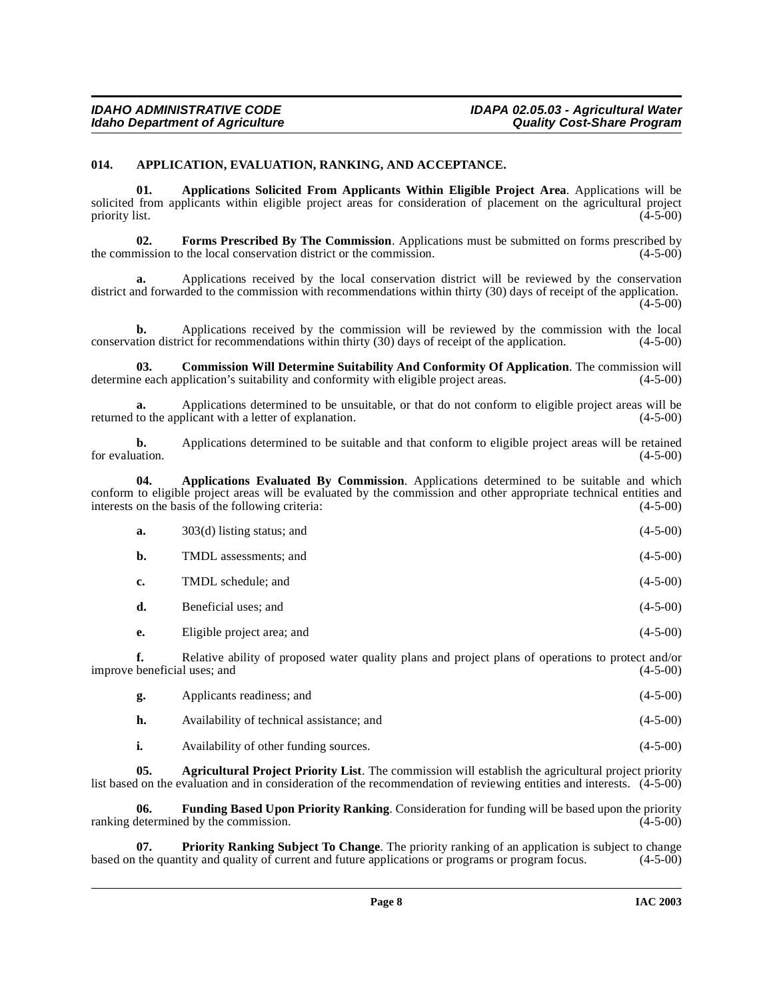### <span id="page-7-2"></span><span id="page-7-0"></span>**014. APPLICATION, EVALUATION, RANKING, AND ACCEPTANCE.**

**01. Applications Solicited From Applicants Within Eligible Project Area**. Applications will be solicited from applicants within eligible project areas for consideration of placement on the agricultural project priority list. (4-5-00) priority list. (4-5-00)

**02. Forms Prescribed By The Commission**. Applications must be submitted on forms prescribed by mission to the local conservation district or the commission. (4-5-00) the commission to the local conservation district or the commission.

**a.** Applications received by the local conservation district will be reviewed by the conservation district and forwarded to the commission with recommendations within thirty (30) days of receipt of the application. (4-5-00)

**b.** Applications received by the commission will be reviewed by the commission with the local tion district for recommendations within thirty (30) days of receipt of the application. (4-5-00) conservation district for recommendations within thirty  $(30)$  days of receipt of the application.

**03. Commission Will Determine Suitability And Conformity Of Application**. The commission will determine each application's suitability and conformity with eligible project areas.  $(4-5-00)$ 

**a.** Applications determined to be unsuitable, or that do not conform to eligible project areas will be to the applicant with a letter of explanation. (4-5-00) returned to the applicant with a letter of explanation.

**b.** Applications determined to be suitable and that conform to eligible project areas will be retained for evaluation.  $(4-5-00)$ 

**04. Applications Evaluated By Commission**. Applications determined to be suitable and which conform to eligible project areas will be evaluated by the commission and other appropriate technical entities and interests on the basis of the following criteria: (4-5-00) interests on the basis of the following criteria:

| а. | $303(d)$ listing status; and | $(4-5-00)$ |
|----|------------------------------|------------|
| b. | TMDL assessments; and        | $(4-5-00)$ |
| c. | TMDL schedule; and           | $(4-5-00)$ |
| d. | Beneficial uses; and         | $(4-5-00)$ |
| e. | Eligible project area; and   | $(4-5-00)$ |

**f.** Relative ability of proposed water quality plans and project plans of operations to protect and/or beneficial uses: and (4-5-00) improve beneficial uses; and

<span id="page-7-1"></span>

| g. | Applicants readiness; and                 | $(4-5-00)$ |
|----|-------------------------------------------|------------|
| h. | Availability of technical assistance; and | $(4-5-00)$ |
| i. | Availability of other funding sources.    | $(4-5-00)$ |

**05. Agricultural Project Priority List**. The commission will establish the agricultural project priority list based on the evaluation and in consideration of the recommendation of reviewing entities and interests.  $(4-5-00)$ 

**06. Funding Based Upon Priority Ranking**. Consideration for funding will be based upon the priority ranking determined by the commission.

**07. Priority Ranking Subject To Change**. The priority ranking of an application is subject to change the quantity and quality of current and future applications or programs or program focus. (4-5-00) based on the quantity and quality of current and future applications or programs or program focus.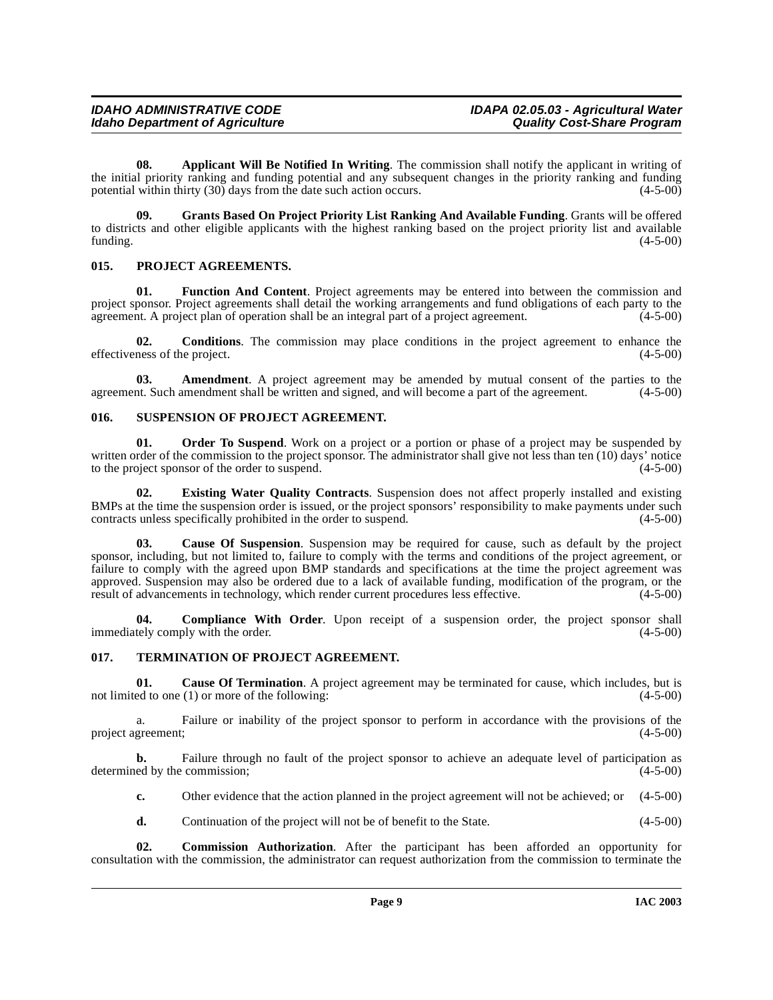## **IDAHO ADMINISTRATIVE CODE IDAPA 02.05.03 - Agricultural Water**

**08. Applicant Will Be Notified In Writing**. The commission shall notify the applicant in writing of the initial priority ranking and funding potential and any subsequent changes in the priority ranking and funding potential within thirty (30) days from the date such action occurs. potential within thirty  $(30)$  days from the date such action occurs.

<span id="page-8-3"></span>**09. Grants Based On Project Priority List Ranking And Available Funding**. Grants will be offered to districts and other eligible applicants with the highest ranking based on the project priority list and available funding. (4-5-00)  $f$ unding.  $(4-5-00)$ 

## <span id="page-8-4"></span><span id="page-8-0"></span>**015. PROJECT AGREEMENTS.**

**01. Function And Content**. Project agreements may be entered into between the commission and project sponsor. Project agreements shall detail the working arrangements and fund obligations of each party to the agreement. A project plan of operation shall be an integral part of a project agreement. (4-5-00)

**02.** Conditions. The commission may place conditions in the project agreement to enhance the ness of the project. (4-5-00) effectiveness of the project.

**03. Amendment**. A project agreement may be amended by mutual consent of the parties to the agreement. Such amendment shall be written and signed, and will become a part of the agreement. (4-5-00)

## <span id="page-8-5"></span><span id="page-8-1"></span>**016. SUSPENSION OF PROJECT AGREEMENT.**

**01. Order To Suspend**. Work on a project or a portion or phase of a project may be suspended by written order of the commission to the project sponsor. The administrator shall give not less than ten (10) days' notice<br>to the project sponsor of the order to suspend. to the project sponsor of the order to suspend.

**02. Existing Water Quality Contracts**. Suspension does not affect properly installed and existing BMPs at the time the suspension order is issued, or the project sponsors' responsibility to make payments under such contracts unless specifically prohibited in the order to suspend. (4-5-00) contracts unless specifically prohibited in the order to suspend.

**03. Cause Of Suspension**. Suspension may be required for cause, such as default by the project sponsor, including, but not limited to, failure to comply with the terms and conditions of the project agreement, or failure to comply with the agreed upon BMP standards and specifications at the time the project agreement was approved. Suspension may also be ordered due to a lack of available funding, modification of the program, or the result of advancements in technology, which render current procedures less effective. (4-5-00) result of advancements in technology, which render current procedures less effective.

**04. Compliance With Order**. Upon receipt of a suspension order, the project sponsor shall tely comply with the order. (4-5-00) immediately comply with the order.

## <span id="page-8-6"></span><span id="page-8-2"></span>**017. TERMINATION OF PROJECT AGREEMENT.**

**01. Cause Of Termination**. A project agreement may be terminated for cause, which includes, but is not limited to one (1) or more of the following: (4-5-00) (4-5-00)

a. Failure or inability of the project sponsor to perform in accordance with the provisions of the greement; (4-5-00) project agreement;

**b.** Failure through no fault of the project sponsor to achieve an adequate level of participation as ed by the commission; (4-5-00) determined by the commission;

**c.** Other evidence that the action planned in the project agreement will not be achieved; or  $(4-5-00)$ 

**d.** Continuation of the project will not be of benefit to the State.  $(4-5-00)$ 

**02. Commission Authorization**. After the participant has been afforded an opportunity for consultation with the commission, the administrator can request authorization from the commission to terminate the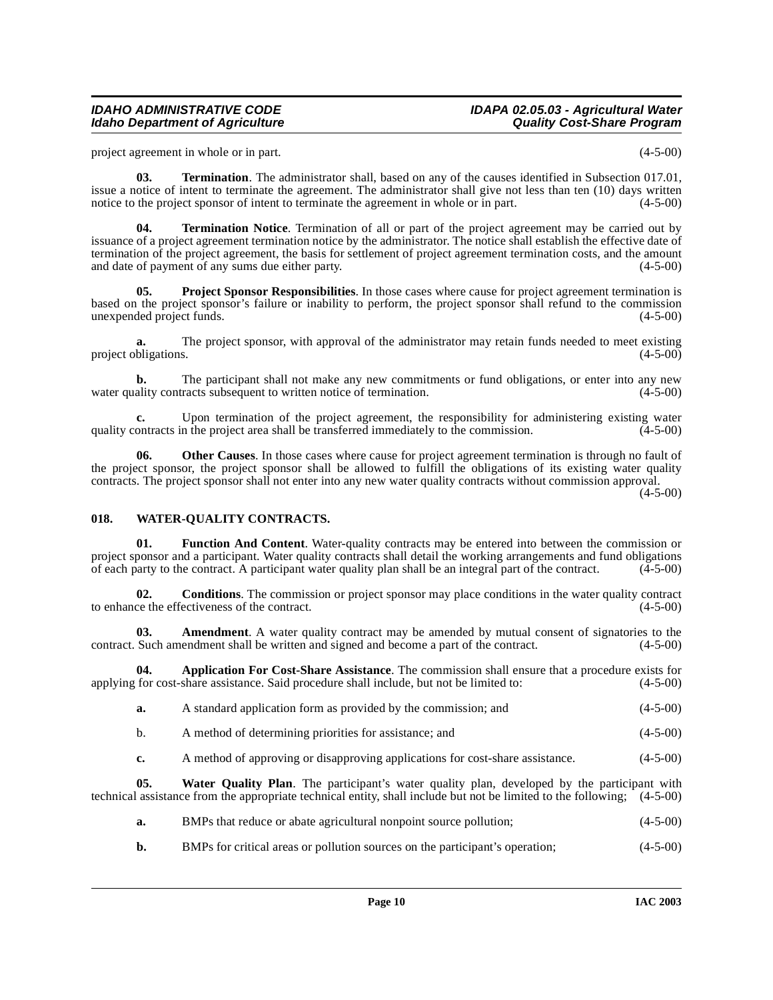## **IDAHO ADMINISTRATIVE CODE IDAPA 02.05.03 - Agricultural Water**

project agreement in whole or in part. (4-5-00)

**03. Termination**. The administrator shall, based on any of the causes identified in Subsection 017.01, issue a notice of intent to terminate the agreement. The administrator shall give not less than ten (10) days written notice to the project sponsor of intent to terminate the agreement in whole or in part. (4-5-00)

**04. Termination Notice**. Termination of all or part of the project agreement may be carried out by issuance of a project agreement termination notice by the administrator. The notice shall establish the effective date of termination of the project agreement, the basis for settlement of project agreement termination costs, and the amount and date of payment of any sums due either party. (4-5-00) (4-5-00)

<span id="page-9-2"></span>**05. Project Sponsor Responsibilities**. In those cases where cause for project agreement termination is based on the project sponsor's failure or inability to perform, the project sponsor shall refund to the commission unexpended project funds. (4-5-00)

**a.** The project sponsor, with approval of the administrator may retain funds needed to meet existing bligations. (4-5-00) project obligations.

**b.** The participant shall not make any new commitments or fund obligations, or enter into any new ality contracts subsequent to written notice of termination.  $(4-5-00)$ water quality contracts subsequent to written notice of termination.

**c.** Upon termination of the project agreement, the responsibility for administering existing water ontracts in the project area shall be transferred immediately to the commission. (4-5-00) quality contracts in the project area shall be transferred immediately to the commission.

**06. Other Causes**. In those cases where cause for project agreement termination is through no fault of the project sponsor, the project sponsor shall be allowed to fulfill the obligations of its existing water quality contracts. The project sponsor shall not enter into any new water quality contracts without commission approval.

(4-5-00)

## <span id="page-9-3"></span><span id="page-9-0"></span>**018. WATER-QUALITY CONTRACTS.**

**01. Function And Content**. Water-quality contracts may be entered into between the commission or project sponsor and a participant. Water quality contracts shall detail the working arrangements and fund obligations of each party to the contract. A participant water quality plan shall be an integral part of the contract.  $(4-5-00)$ 

**02. Conditions**. The commission or project sponsor may place conditions in the water quality contract ce the effectiveness of the contract. to enhance the effectiveness of the contract.

**03.** Amendment. A water quality contract may be amended by mutual consent of signatories to the Such amendment shall be written and signed and become a part of the contract. (4-5-00) contract. Such amendment shall be written and signed and become a part of the contract.

**04. Application For Cost-Share Assistance**. The commission shall ensure that a procedure exists for applying for cost-share assistance. Said procedure shall include, but not be limited to: (4-5-00)

<span id="page-9-1"></span>

| a. | A standard application form as provided by the commission; and | $(4-5-00)$ |
|----|----------------------------------------------------------------|------------|
|    |                                                                |            |

- b. A method of determining priorities for assistance; and (4-5-00)
- **c.** A method of approving or disapproving applications for cost-share assistance. (4-5-00)

**05. Water Quality Plan**. The participant's water quality plan, developed by the participant with technical assistance from the appropriate technical entity, shall include but not be limited to the following; (4-5-00)

- **a.** BMPs that reduce or abate agricultural nonpoint source pollution; (4-5-00)
- **b.** BMPs for critical areas or pollution sources on the participant's operation; (4-5-00)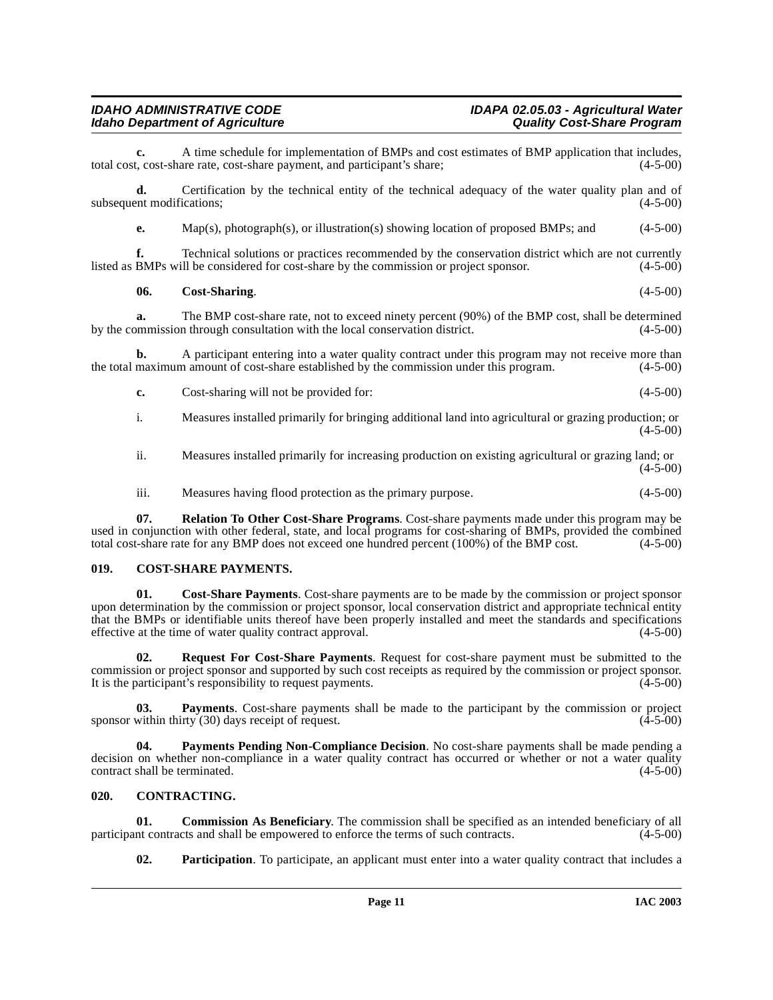## **IDAHO ADMINISTRATIVE CODE IDAPA 02.05.03 - Agricultural Water Idaho Department of Agriculture**

**c.** A time schedule for implementation of BMPs and cost estimates of BMP application that includes, t, cost-share rate, cost-share payment, and participant's share; (4-5-00) total cost, cost-share rate, cost-share payment, and participant's share;

**d.** Certification by the technical entity of the technical adequacy of the water quality plan and of subsequent modifications; (4-5-00)

**e.** Map(s), photograph(s), or illustration(s) showing location of proposed BMPs; and (4-5-00)

**f.** Technical solutions or practices recommended by the conservation district which are not currently listed as BMPs will be considered for cost-share by the commission or project sponsor. (4-5-00)

### **06. Cost-Sharing**. (4-5-00)

**a.** The BMP cost-share rate, not to exceed ninety percent (90%) of the BMP cost, shall be determined by the commission through consultation with the local conservation district. (4-5-00)

**b.** A participant entering into a water quality contract under this program may not receive more than maximum amount of cost-share established by the commission under this program.  $(4-5-00)$ the total maximum amount of cost-share established by the commission under this program.

**c.** Cost-sharing will not be provided for: (4-5-00)

i. Measures installed primarily for bringing additional land into agricultural or grazing production; or (4-5-00)

ii. Measures installed primarily for increasing production on existing agricultural or grazing land; or  $(4-5-00)$ 

iii. Measures having flood protection as the primary purpose. (4-5-00)

**07. Relation To Other Cost-Share Programs**. Cost-share payments made under this program may be used in conjunction with other federal, state, and local programs for cost-sharing of BMPs, provided the combined total cost-share rate for any BMP does not exceed one hundred percent (100%) of the BMP cost. (4-5-00) total cost-share rate for any BMP does not exceed one hundred percent  $(100%)$  of the BMP cost.

#### <span id="page-10-3"></span><span id="page-10-0"></span>**019. COST-SHARE PAYMENTS.**

**01. Cost-Share Payments**. Cost-share payments are to be made by the commission or project sponsor upon determination by the commission or project sponsor, local conservation district and appropriate technical entity that the BMPs or identifiable units thereof have been properly installed and meet the standards and specifications effective at the time of water quality contract approval.  $(4-5-00)$ 

<span id="page-10-5"></span>**02. Request For Cost-Share Payments**. Request for cost-share payment must be submitted to the commission or project sponsor and supported by such cost receipts as required by the commission or project sponsor. It is the participant's responsibility to request payments.  $(4-5-00)$ 

**03. Payments**. Cost-share payments shall be made to the participant by the commission or project within thirty (30) days receipt of request. (4-5-00) sponsor within thirty  $(30)$  days receipt of request.

<span id="page-10-4"></span>**04. Payments Pending Non-Compliance Decision**. No cost-share payments shall be made pending a decision on whether non-compliance in a water quality contract has occurred or whether or not a water quality contract shall be terminated. (4-5-00) contract shall be terminated.

### <span id="page-10-2"></span><span id="page-10-1"></span>**020. CONTRACTING.**

**01. Commission As Beneficiary**. The commission shall be specified as an intended beneficiary of all nt contracts and shall be empowered to enforce the terms of such contracts. (4-5-00) participant contracts and shall be empowered to enforce the terms of such contracts.

**02. Participation**. To participate, an applicant must enter into a water quality contract that includes a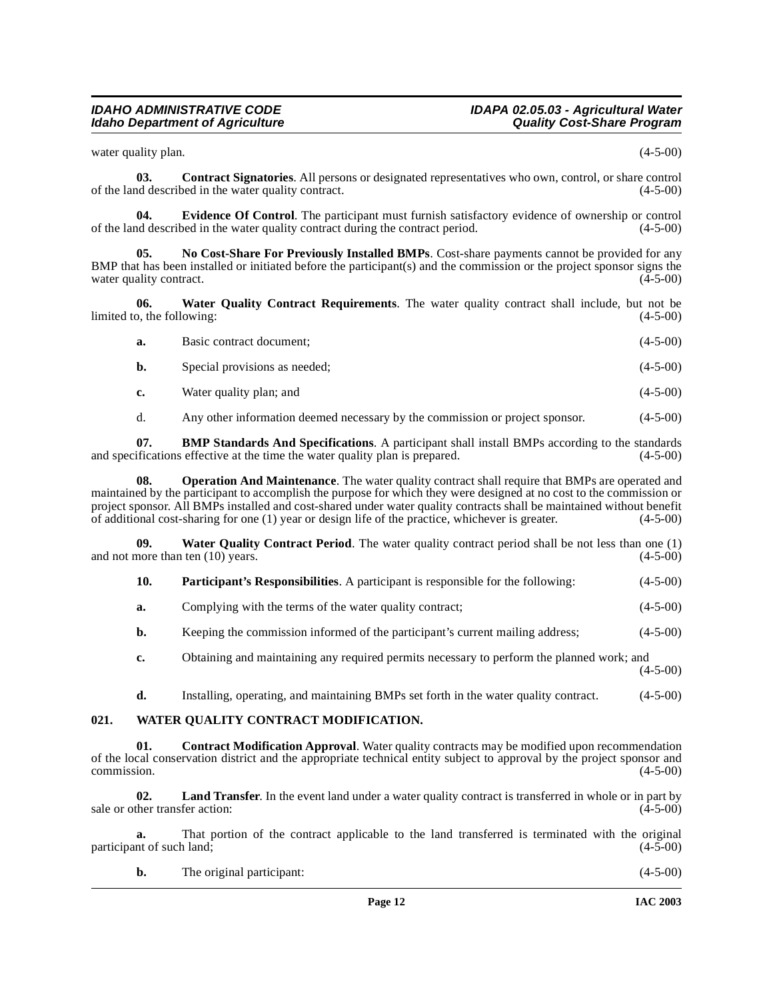## **IDAHO ADMINISTRATIVE CODE IDAPA 02.05.03 - Agricultural Water**

water quality plan. (4-5-00)

**03. Contract Signatories**. All persons or designated representatives who own, control, or share control of the land described in the water quality contract. (4-5-00)

**04.** Evidence Of Control. The participant must furnish satisfactory evidence of ownership or control described in the water quality contract during the contract period. (4-5-00) of the land described in the water quality contract during the contract period.

<span id="page-11-1"></span>**05. No Cost-Share For Previously Installed BMPs**. Cost-share payments cannot be provided for any BMP that has been installed or initiated before the participant(s) and the commission or the project sponsor signs the water quality contract. (4-5-00)

**06. Water Quality Contract Requirements**. The water quality contract shall include, but not be limited to, the following: (4-5-00)

<span id="page-11-5"></span>

| <b>a.</b> | Basic contract document;      | $(4-5-00)$ |
|-----------|-------------------------------|------------|
| b.        | Special provisions as needed; | $(4-5-00)$ |

**c.** Water quality plan; and (4-5-00)

d. Any other information deemed necessary by the commission or project sponsor. (4-5-00)

**07. BMP Standards And Specifications**. A participant shall install BMPs according to the standards ifications effective at the time the water quality plan is prepared. (4-5-00) and specifications effective at the time the water quality plan is prepared.

**08. Operation And Maintenance**. The water quality contract shall require that BMPs are operated and maintained by the participant to accomplish the purpose for which they were designed at no cost to the commission or project sponsor. All BMPs installed and cost-shared under water quality contracts shall be maintained without benefit of additional cost-sharing for one (1) year or design life of the practice, whichever is greater. (4-5-00)

**09. Water Quality Contract Period**. The water quality contract period shall be not less than one (1) and not more than ten  $(10)$  years.

<span id="page-11-4"></span><span id="page-11-2"></span>

| 10. |  | <b>Participant's Responsibilities.</b> A participant is responsible for the following: | $(4-5-00)$ |
|-----|--|----------------------------------------------------------------------------------------|------------|
|-----|--|----------------------------------------------------------------------------------------|------------|

**a.** Complying with the terms of the water quality contract;  $(4-5-00)$ 

**b.** Keeping the commission informed of the participant's current mailing address; (4-5-00)

**c.** Obtaining and maintaining any required permits necessary to perform the planned work; and  $(4-5-00)$ 

<span id="page-11-3"></span>**d.** Installing, operating, and maintaining BMPs set forth in the water quality contract. (4-5-00)

#### <span id="page-11-0"></span>**021. WATER QUALITY CONTRACT MODIFICATION.**

**Contract Modification Approval.** Water quality contracts may be modified upon recommendation of the local conservation district and the appropriate technical entity subject to approval by the project sponsor and commission. (4-5-00)  $\epsilon$  commission. (4-5-00)

**02. Land Transfer**. In the event land under a water quality contract is transferred in whole or in part by sale or other transfer action: (4-5-00) (4-5-00)

**a.** That portion of the contract applicable to the land transferred is terminated with the original int of such land; (4-5-00) participant of such land;

| The original participant: | $(4-5-00)$ |
|---------------------------|------------|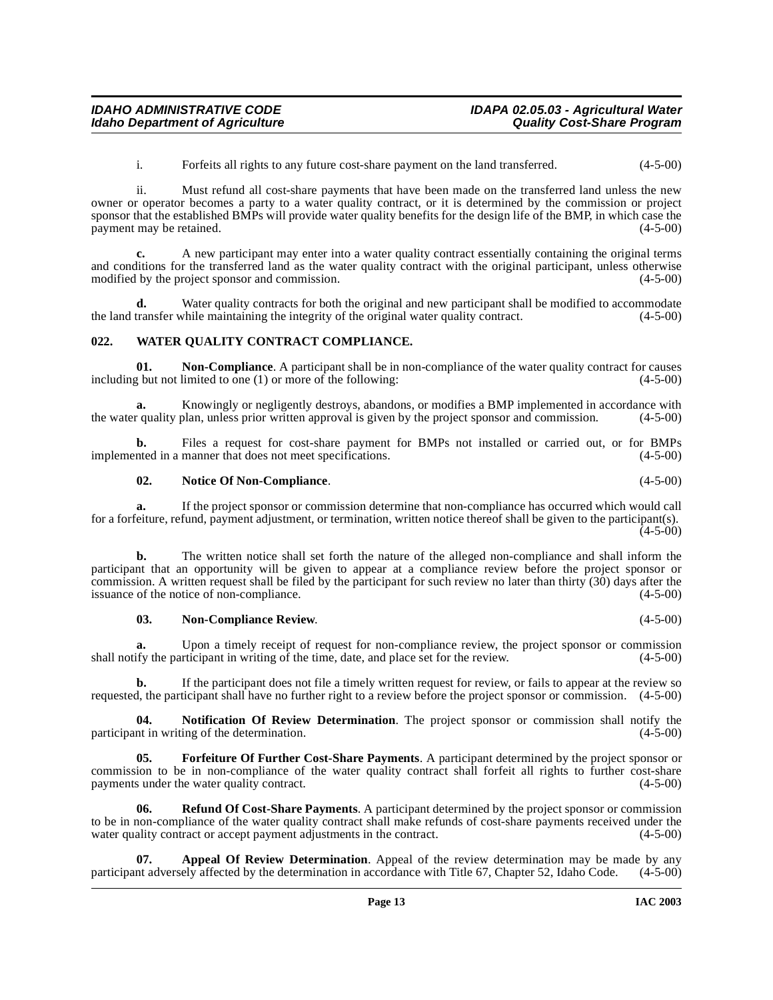i. Forfeits all rights to any future cost-share payment on the land transferred. (4-5-00)

ii. Must refund all cost-share payments that have been made on the transferred land unless the new owner or operator becomes a party to a water quality contract, or it is determined by the commission or project sponsor that the established BMPs will provide water quality benefits for the design life of the BMP, in which case the payment may be retained. (4-5-00) payment may be retained.

**c.** A new participant may enter into a water quality contract essentially containing the original terms and conditions for the transferred land as the water quality contract with the original participant, unless otherwise modified by the project sponsor and commission. (4-5-00)

**d.** Water quality contracts for both the original and new participant shall be modified to accommodate the land transfer while maintaining the integrity of the original water quality contract. (4-5-00)

#### <span id="page-12-4"></span><span id="page-12-0"></span>**022. WATER QUALITY CONTRACT COMPLIANCE.**

**01. Non-Compliance**. A participant shall be in non-compliance of the water quality contract for causes including but not limited to one (1) or more of the following: (4-5-00)

**a.** Knowingly or negligently destroys, abandons, or modifies a BMP implemented in accordance with requality plan, unless prior written approval is given by the project sponsor and commission.  $(4-5-00)$ the water quality plan, unless prior written approval is given by the project sponsor and commission.

**b.** Files a request for cost-share payment for BMPs not installed or carried out, or for BMPs implemented in a manner that does not meet specifications. (4-5-00)

#### **02. Notice Of Non-Compliance**. (4-5-00)

**a.** If the project sponsor or commission determine that non-compliance has occurred which would call for a forfeiture, refund, payment adjustment, or termination, written notice thereof shall be given to the participant(s).  $(4 - 5 - 00)$ 

**b.** The written notice shall set forth the nature of the alleged non-compliance and shall inform the participant that an opportunity will be given to appear at a compliance review before the project sponsor or commission. A written request shall be filed by the participant for such review no later than thirty  $(30)$  days after the issuance of the notice of non-compliance. issuance of the notice of non-compliance.

#### **03. Non-Compliance Review**. (4-5-00)

**a.** Upon a timely receipt of request for non-compliance review, the project sponsor or commission if the participant in writing of the time, date, and place set for the review. (4-5-00) shall notify the participant in writing of the time, date, and place set for the review.

**b.** If the participant does not file a timely written request for review, or fails to appear at the review so requested, the participant shall have no further right to a review before the project sponsor or commission. (4-5-00)

**04.** Notification Of Review Determination. The project sponsor or commission shall notify the nt in writing of the determination. (4-5-00) participant in writing of the determination.

<span id="page-12-2"></span>**05. Forfeiture Of Further Cost-Share Payments**. A participant determined by the project sponsor or commission to be in non-compliance of the water quality contract shall forfeit all rights to further cost-share payments under the water quality contract. payments under the water quality contract.

<span id="page-12-3"></span>**06. Refund Of Cost-Share Payments**. A participant determined by the project sponsor or commission to be in non-compliance of the water quality contract shall make refunds of cost-share payments received under the water quality contract or accept payment adjustments in the contract. (4-5-00) water quality contract or accept payment adjustments in the contract.

<span id="page-12-1"></span>**07. Appeal Of Review Determination**. Appeal of the review determination may be made by any participant adversely affected by the determination in accordance with Title 67, Chapter 52, Idaho Code. (4-5-00)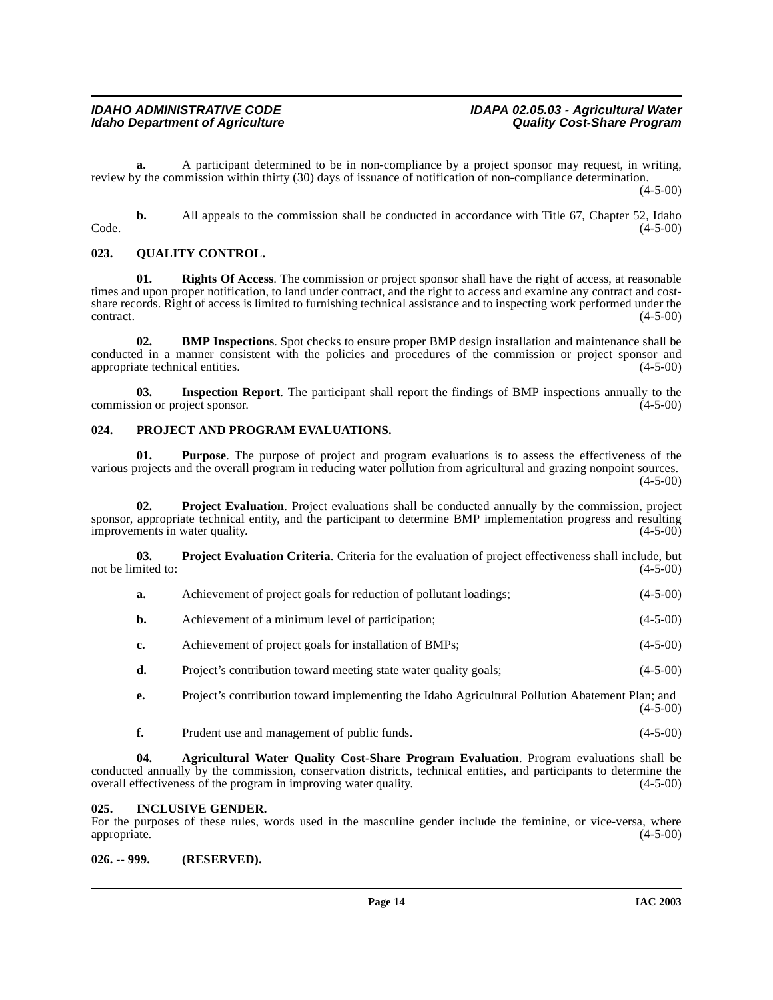**a.** A participant determined to be in non-compliance by a project sponsor may request, in writing, review by the commission within thirty (30) days of issuance of notification of non-compliance determination.  $(4-5-00)$ 

**b.** All appeals to the commission shall be conducted in accordance with Title 67, Chapter 52, Idaho (4-5-00)  $\text{Code.}$  (4-5-00)

## <span id="page-13-7"></span><span id="page-13-0"></span>**023. QUALITY CONTROL.**

**01. Rights Of Access**. The commission or project sponsor shall have the right of access, at reasonable times and upon proper notification, to land under contract, and the right to access and examine any contract and costshare records. Right of access is limited to furnishing technical assistance and to inspecting work performed under the  $\epsilon$  (4-5-00) contract. (4-5-00)

**02. BMP Inspections**. Spot checks to ensure proper BMP design installation and maintenance shall be conducted in a manner consistent with the policies and procedures of the commission or project sponsor and appropriate technical entities. (4-5-00) appropriate technical entities.

**03.** Inspection Report. The participant shall report the findings of BMP inspections annually to the ion or project sponsor. (4-5-00) commission or project sponsor.

#### <span id="page-13-5"></span><span id="page-13-1"></span>**024. PROJECT AND PROGRAM EVALUATIONS.**

**01. Purpose**. The purpose of project and program evaluations is to assess the effectiveness of the various projects and the overall program in reducing water pollution from agricultural and grazing nonpoint sources. (4-5-00)

**02. Project Evaluation**. Project evaluations shall be conducted annually by the commission, project sponsor, appropriate technical entity, and the participant to determine BMP implementation progress and resulting improvements in water quality. (4-5-00)

**03. Project Evaluation Criteria**. Criteria for the evaluation of project effectiveness shall include, but not be limited to:  $(4-5-00)$ 

<span id="page-13-6"></span>

| Achievement of project goals for reduction of pollutant loadings; | $(4-5-00)$ |
|-------------------------------------------------------------------|------------|
|                                                                   |            |

- **b.** Achievement of a minimum level of participation; (4-5-00)
- **c.** Achievement of project goals for installation of BMPs; (4-5-00)
- **d.** Project's contribution toward meeting state water quality goals; (4-5-00)

**e.** Project's contribution toward implementing the Idaho Agricultural Pollution Abatement Plan; and  $(4-5-00)$ 

<span id="page-13-4"></span>**f.** Prudent use and management of public funds. (4-5-00)

**04. Agricultural Water Quality Cost-Share Program Evaluation**. Program evaluations shall be conducted annually by the commission, conservation districts, technical entities, and participants to determine the overall effectiveness of the program in improving water quality. (4-5-00) overall effectiveness of the program in improving water quality.

#### <span id="page-13-2"></span>**025. INCLUSIVE GENDER.**

For the purposes of these rules, words used in the masculine gender include the feminine, or vice-versa, where appropriate. (4-5-00) appropriate. (4-5-00)

#### <span id="page-13-3"></span>**026. -- 999. (RESERVED).**